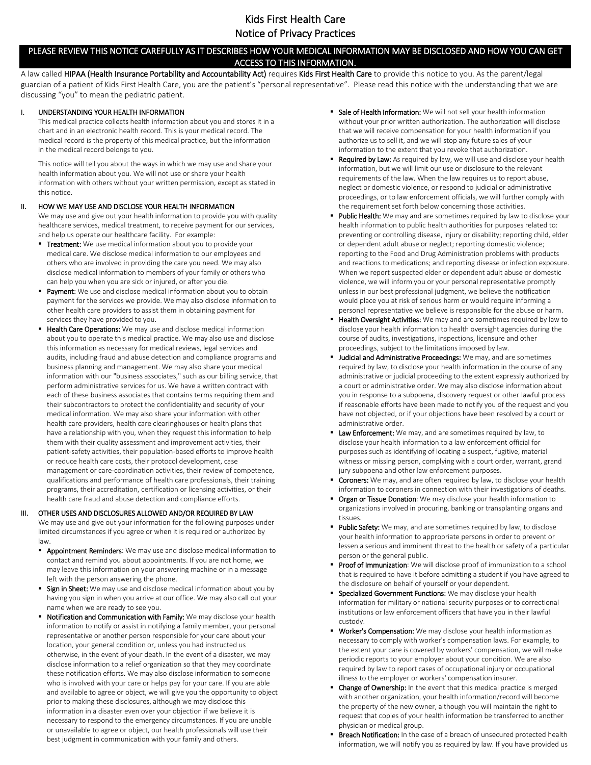# Kids First Health Care Notice of Privacy Practices

# PLEASE REVIEW THIS NOTICE CAREFULLY AS IT DESCRIBES HOW YOUR MEDICAL INFORMATION MAY BE DISCLOSED AND HOW YOU CAN GET ACCESS TO THIS INFORMATION.

A law called HIPAA (Health Insurance Portability and Accountability Act) requires Kids First Health Care to provide this notice to you. As the parent/legal guardian of a patient of Kids First Health Care, you are the patient's "personal representative". Please read this notice with the understanding that we are discussing "you" to mean the pediatric patient.

# I. UNDERSTANDING YOUR HEALTH INFORMATION

This medical practice collects health information about you and stores it in a chart and in an electronic health record. This is your medical record. The medical record is the property of this medical practice, but the information in the medical record belongs to you.

This notice will tell you about the ways in which we may use and share your health information about you. We will not use or share your health information with others without your written permission, except as stated in this notice.

# II. HOW WE MAY USE AND DISCLOSE YOUR HEALTH INFORMATION

We may use and give out your health information to provide you with quality healthcare services, medical treatment, to receive payment for our services, and help us operate our healthcare facility. For example:

- **Treatment:** We use medical information about you to provide your medical care. We disclose medical information to our employees and others who are involved in providing the care you need. We may also disclose medical information to members of your family or others who can help you when you are sick or injured, or after you die.
- Payment: We use and disclose medical information about you to obtain payment for the services we provide. We may also disclose information to other health care providers to assist them in obtaining payment for services they have provided to you.
- Health Care Operations: We may use and disclose medical information about you to operate this medical practice. We may also use and disclose this information as necessary for medical reviews, legal services and audits, including fraud and abuse detection and compliance programs and business planning and management. We may also share your medical information with our "business associates," such as our billing service, that perform administrative services for us. We have a written contract with each of these business associates that contains terms requiring them and their subcontractors to protect the confidentiality and security of your medical information. We may also share your information with other health care providers, health care clearinghouses or health plans that have a relationship with you, when they request this information to help them with their quality assessment and improvement activities, their patient-safety activities, their population-based efforts to improve health or reduce health care costs, their protocol development, case management or care-coordination activities, their review of competence, qualifications and performance of health care professionals, their training programs, their accreditation, certification or licensing activities, or their health care fraud and abuse detection and compliance efforts.

# III. OTHER USES AND DISCLOSURES ALLOWED AND/OR REQUIRED BY LAW

We may use and give out your information for the following purposes under limited circumstances if you agree or when it is required or authorized by law.

- **Appointment Reminders:** We may use and disclose medical information to contact and remind you about appointments. If you are not home, we may leave this information on your answering machine or in a message left with the person answering the phone.
- **Sign in Sheet:** We may use and disclose medical information about you by having you sign in when you arrive at our office. We may also call out your name when we are ready to see you.
- Notification and Communication with Family: We may disclose your health information to notify or assist in notifying a family member, your personal representative or another person responsible for your care about your location, your general condition or, unless you had instructed us otherwise, in the event of your death. In the event of a disaster, we may disclose information to a relief organization so that they may coordinate these notification efforts. We may also disclose information to someone who is involved with your care or helps pay for your care. If you are able and available to agree or object, we will give you the opportunity to object prior to making these disclosures, although we may disclose this information in a disaster even over your objection if we believe it is necessary to respond to the emergency circumstances. If you are unable or unavailable to agree or object, our health professionals will use their best judgment in communication with your family and others.
- Sale of Health Information: We will not sell your health information without your prior written authorization. The authorization will disclose that we will receive compensation for your health information if you authorize us to sell it, and we will stop any future sales of your information to the extent that you revoke that authorization.
- Required by Law: As required by law, we will use and disclose your health information, but we will limit our use or disclosure to the relevant requirements of the law. When the law requires us to report abuse, neglect or domestic violence, or respond to judicial or administrative proceedings, or to law enforcement officials, we will further comply with the requirement set forth below concerning those activities.
- Public Health: We may and are sometimes required by law to disclose your health information to public health authorities for purposes related to: preventing or controlling disease, injury or disability; reporting child, elder or dependent adult abuse or neglect; reporting domestic violence; reporting to the Food and Drug Administration problems with products and reactions to medications; and reporting disease or infection exposure. When we report suspected elder or dependent adult abuse or domestic violence, we will inform you or your personal representative promptly unless in our best professional judgment, we believe the notification would place you at risk of serious harm or would require informing a personal representative we believe is responsible for the abuse or harm.
- Health Oversight Activities: We may and are sometimes required by law to disclose your health information to health oversight agencies during the course of audits, investigations, inspections, licensure and other proceedings, subject to the limitations imposed by law.
- Judicial and Administrative Proceedings: We may, and are sometimes required by law, to disclose your health information in the course of any administrative or judicial proceeding to the extent expressly authorized by a court or administrative order. We may also disclose information about you in response to a subpoena, discovery request or other lawful process if reasonable efforts have been made to notify you of the request and you have not objected, or if your objections have been resolved by a court or administrative order.
- Law Enforcement: We may, and are sometimes required by law, to disclose your health information to a law enforcement official for purposes such as identifying of locating a suspect, fugitive, material witness or missing person, complying with a court order, warrant, grand jury subpoena and other law enforcement purposes.
- Coroners: We may, and are often required by law, to disclose your health information to coroners in connection with their investigations of deaths.
- Organ or Tissue Donation: We may disclose your health information to organizations involved in procuring, banking or transplanting organs and tissues.
- Public Safety: We may, and are sometimes required by law, to disclose your health information to appropriate persons in order to prevent or lessen a serious and imminent threat to the health or safety of a particular person or the general public.
- Proof of Immunization: We will disclose proof of immunization to a school that is required to have it before admitting a student if you have agreed to the disclosure on behalf of yourself or your dependent.
- Specialized Government Functions: We may disclose your health information for military or national security purposes or to correctional institutions or law enforcement officers that have you in their lawful custody.
- Worker's Compensation: We may disclose your health information as necessary to comply with worker's compensation laws. For example, to the extent your care is covered by workers' compensation, we will make periodic reports to your employer about your condition. We are also required by law to report cases of occupational injury or occupational illness to the employer or workers' compensation insurer.
- Change of Ownership: In the event that this medical practice is merged with another organization, your health information/record will become the property of the new owner, although you will maintain the right to request that copies of your health information be transferred to another physician or medical group.
- Breach Notification: In the case of a breach of unsecured protected health information, we will notify you as required by law. If you have provided us